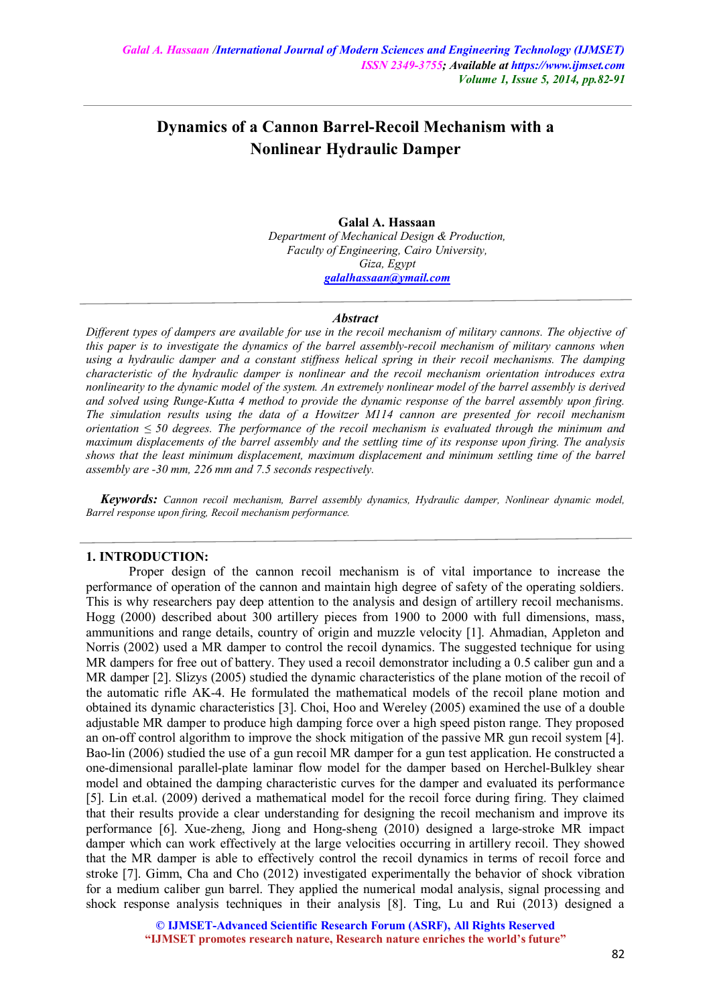# **Dynamics of a Cannon Barrel-Recoil Mechanism with a Nonlinear Hydraulic Damper**

#### **Galal A. Hassaan** *Department of Mechanical Design & Production, Faculty of Engineering, Cairo University, Giza, Egypt galalhassaan@ymail.com*

#### *Abstract*

*Different types of dampers are available for use in the recoil mechanism of military cannons. The objective of this paper is to investigate the dynamics of the barrel assembly-recoil mechanism of military cannons when using a hydraulic damper and a constant stiffness helical spring in their recoil mechanisms. The damping characteristic of the hydraulic damper is nonlinear and the recoil mechanism orientation introduces extra nonlinearity to the dynamic model of the system. An extremely nonlinear model of the barrel assembly is derived and solved using Runge-Kutta 4 method to provide the dynamic response of the barrel assembly upon firing. The simulation results using the data of a Howitzer M114 cannon are presented for recoil mechanism orientation ≤ 50 degrees. The performance of the recoil mechanism is evaluated through the minimum and maximum displacements of the barrel assembly and the settling time of its response upon firing. The analysis shows that the least minimum displacement, maximum displacement and minimum settling time of the barrel assembly are -30 mm, 226 mm and 7.5 seconds respectively.*

*Keywords: Cannon recoil mechanism, Barrel assembly dynamics, Hydraulic damper, Nonlinear dynamic model, Barrel response upon firing, Recoil mechanism performance.*

# **1. INTRODUCTION:**

Proper design of the cannon recoil mechanism is of vital importance to increase the performance of operation of the cannon and maintain high degree of safety of the operating soldiers. This is why researchers pay deep attention to the analysis and design of artillery recoil mechanisms. Hogg (2000) described about 300 artillery pieces from 1900 to 2000 with full dimensions, mass, ammunitions and range details, country of origin and muzzle velocity [1]. Ahmadian, Appleton and Norris (2002) used a MR damper to control the recoil dynamics. The suggested technique for using MR dampers for free out of battery. They used a recoil demonstrator including a 0.5 caliber gun and a MR damper [2]. Slizys (2005) studied the dynamic characteristics of the plane motion of the recoil of the automatic rifle AK-4. He formulated the mathematical models of the recoil plane motion and obtained its dynamic characteristics [3]. Choi, Hoo and Wereley (2005) examined the use of a double adjustable MR damper to produce high damping force over a high speed piston range. They proposed an on-off control algorithm to improve the shock mitigation of the passive MR gun recoil system [4]. Bao-lin (2006) studied the use of a gun recoil MR damper for a gun test application. He constructed a one-dimensional parallel-plate laminar flow model for the damper based on Herchel-Bulkley shear model and obtained the damping characteristic curves for the damper and evaluated its performance [5]. Lin et.al. (2009) derived a mathematical model for the recoil force during firing. They claimed that their results provide a clear understanding for designing the recoil mechanism and improve its performance [6]. Xue-zheng, Jiong and Hong-sheng (2010) designed a large-stroke MR impact damper which can work effectively at the large velocities occurring in artillery recoil. They showed that the MR damper is able to effectively control the recoil dynamics in terms of recoil force and stroke [7]. Gimm, Cha and Cho (2012) investigated experimentally the behavior of shock vibration for a medium caliber gun barrel. They applied the numerical modal analysis, signal processing and shock response analysis techniques in their analysis [8]. Ting, Lu and Rui (2013) designed a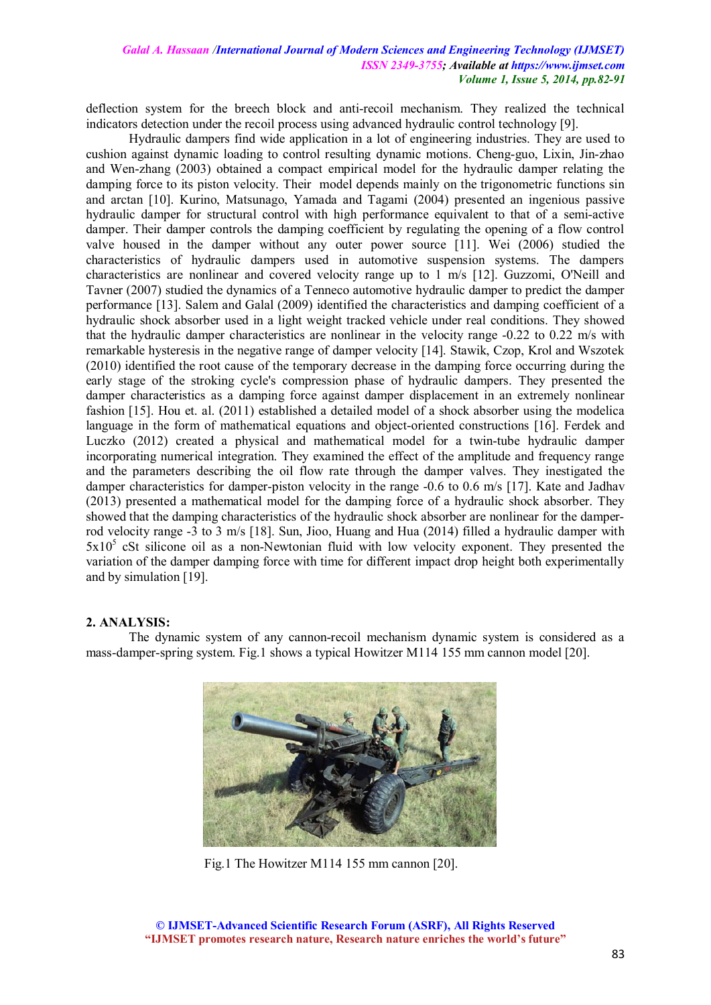deflection system for the breech block and anti-recoil mechanism. They realized the technical indicators detection under the recoil process using advanced hydraulic control technology [9].

Hydraulic dampers find wide application in a lot of engineering industries. They are used to cushion against dynamic loading to control resulting dynamic motions. Cheng-guo, Lixin, Jin-zhao and Wen-zhang (2003) obtained a compact empirical model for the hydraulic damper relating the damping force to its piston velocity. Their model depends mainly on the trigonometric functions sin and arctan [10]. Kurino, Matsunago, Yamada and Tagami (2004) presented an ingenious passive hydraulic damper for structural control with high performance equivalent to that of a semi-active damper. Their damper controls the damping coefficient by regulating the opening of a flow control valve housed in the damper without any outer power source [11]. Wei (2006) studied the characteristics of hydraulic dampers used in automotive suspension systems. The dampers characteristics are nonlinear and covered velocity range up to 1 m/s [12]. Guzzomi, O'Neill and Tavner (2007) studied the dynamics of a Tenneco automotive hydraulic damper to predict the damper performance [13]. Salem and Galal (2009) identified the characteristics and damping coefficient of a hydraulic shock absorber used in a light weight tracked vehicle under real conditions. They showed that the hydraulic damper characteristics are nonlinear in the velocity range -0.22 to 0.22 m/s with remarkable hysteresis in the negative range of damper velocity [14]. Stawik, Czop, Krol and Wszotek (2010) identified the root cause of the temporary decrease in the damping force occurring during the early stage of the stroking cycle's compression phase of hydraulic dampers. They presented the damper characteristics as a damping force against damper displacement in an extremely nonlinear fashion [15]. Hou et. al. (2011) established a detailed model of a shock absorber using the modelica language in the form of mathematical equations and object-oriented constructions [16]. Ferdek and Luczko (2012) created a physical and mathematical model for a twin-tube hydraulic damper incorporating numerical integration. They examined the effect of the amplitude and frequency range and the parameters describing the oil flow rate through the damper valves. They inestigated the damper characteristics for damper-piston velocity in the range -0.6 to 0.6 m/s [17]. Kate and Jadhav (2013) presented a mathematical model for the damping force of a hydraulic shock absorber. They showed that the damping characteristics of the hydraulic shock absorber are nonlinear for the damperrod velocity range -3 to 3 m/s [18]. Sun, Jioo, Huang and Hua (2014) filled a hydraulic damper with 5x10<sup>5</sup> cSt silicone oil as a non-Newtonian fluid with low velocity exponent. They presented the variation of the damper damping force with time for different impact drop height both experimentally and by simulation [19].

# **2. ANALYSIS:**

The dynamic system of any cannon-recoil mechanism dynamic system is considered as a mass-damper-spring system. Fig.1 shows a typical Howitzer M114 155 mm cannon model [20].



Fig.1 The Howitzer M114 155 mm cannon [20].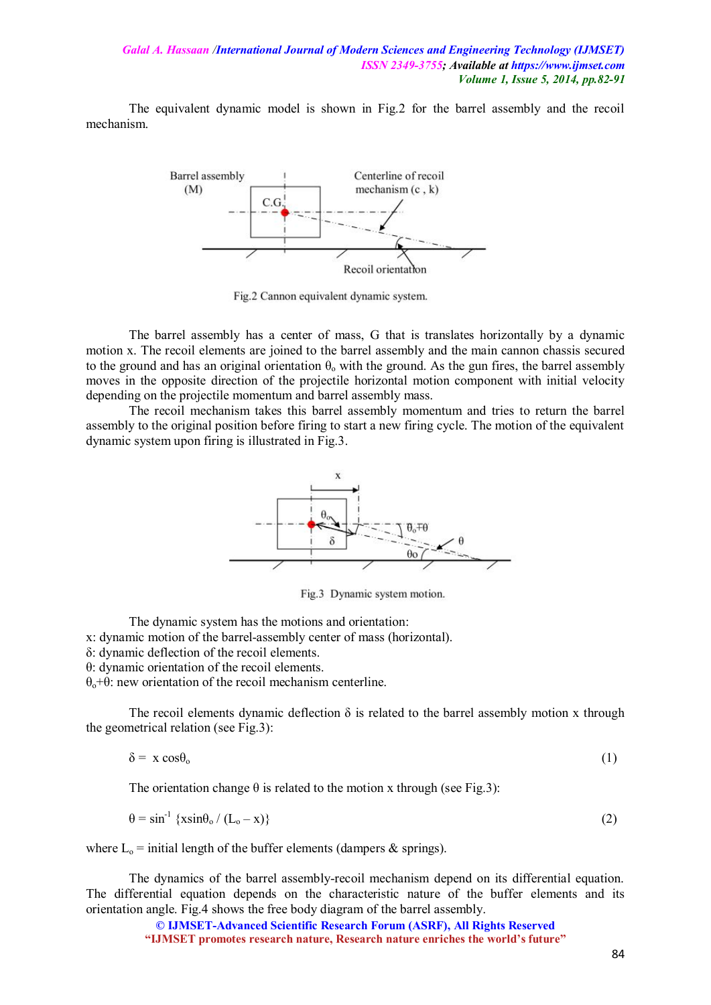The equivalent dynamic model is shown in Fig.2 for the barrel assembly and the recoil mechanism.



Fig.2 Cannon equivalent dynamic system.

The barrel assembly has a center of mass, G that is translates horizontally by a dynamic motion x. The recoil elements are joined to the barrel assembly and the main cannon chassis secured to the ground and has an original orientation  $\theta_0$  with the ground. As the gun fires, the barrel assembly moves in the opposite direction of the projectile horizontal motion component with initial velocity depending on the projectile momentum and barrel assembly mass.

The recoil mechanism takes this barrel assembly momentum and tries to return the barrel assembly to the original position before firing to start a new firing cycle. The motion of the equivalent dynamic system upon firing is illustrated in Fig.3.



Fig.3 Dynamic system motion.

The dynamic system has the motions and orientation:

x: dynamic motion of the barrel-assembly center of mass (horizontal).

δ: dynamic deflection of the recoil elements.

θ: dynamic orientation of the recoil elements.

θo+θ: new orientation of the recoil mechanism centerline.

The recoil elements dynamic deflection  $\delta$  is related to the barrel assembly motion x through the geometrical relation (see Fig.3):

$$
\delta = x \cos \theta_0 \tag{1}
$$

The orientation change  $\theta$  is related to the motion x through (see Fig.3):

$$
\theta = \sin^{-1} \left\{ x \sin \theta_o / (L_o - x) \right\} \tag{2}
$$

where  $L_0$  = initial length of the buffer elements (dampers & springs).

The dynamics of the barrel assembly-recoil mechanism depend on its differential equation. The differential equation depends on the characteristic nature of the buffer elements and its orientation angle. Fig.4 shows the free body diagram of the barrel assembly.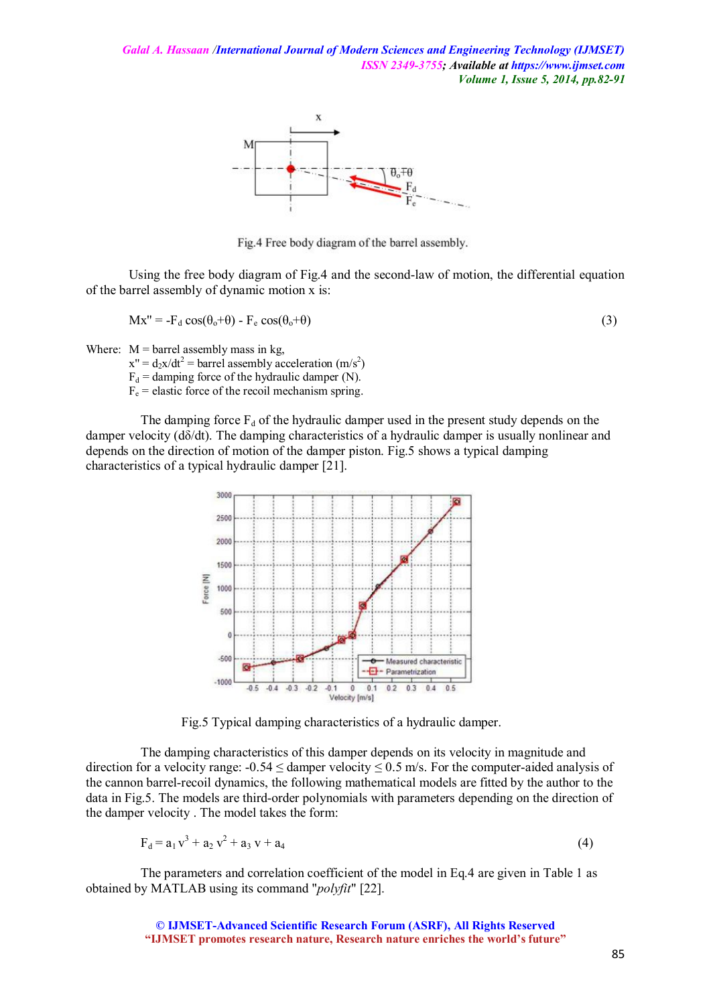

Fig.4 Free body diagram of the barrel assembly.

Using the free body diagram of Fig.4 and the second-law of motion, the differential equation of the barrel assembly of dynamic motion x is:

$$
Mx'' = -F_d \cos(\theta_o + \theta) - F_e \cos(\theta_o + \theta)
$$
\n(3)

Where:  $M = \text{barrel}$  assembly mass in kg,

 $x'' = d_2x/dt^2$  = barrel assembly acceleration (m/s<sup>2</sup>)

 $F_d$  = damping force of the hydraulic damper (N).

 $F_e$  = elastic force of the recoil mechanism spring.

The damping force  $F_d$  of the hydraulic damper used in the present study depends on the damper velocity (dδ/dt). The damping characteristics of a hydraulic damper is usually nonlinear and depends on the direction of motion of the damper piston. Fig.5 shows a typical damping characteristics of a typical hydraulic damper [21].



Fig.5 Typical damping characteristics of a hydraulic damper.

The damping characteristics of this damper depends on its velocity in magnitude and direction for a velocity range:  $-0.54 \le$  damper velocity  $\le 0.5$  m/s. For the computer-aided analysis of the cannon barrel-recoil dynamics, the following mathematical models are fitted by the author to the data in Fig.5. The models are third-order polynomials with parameters depending on the direction of the damper velocity . The model takes the form:

$$
F_d = a_1 v^3 + a_2 v^2 + a_3 v + a_4
$$
 (4)

The parameters and correlation coefficient of the model in Eq.4 are given in Table 1 as obtained by MATLAB using its command "*polyfit*" [22].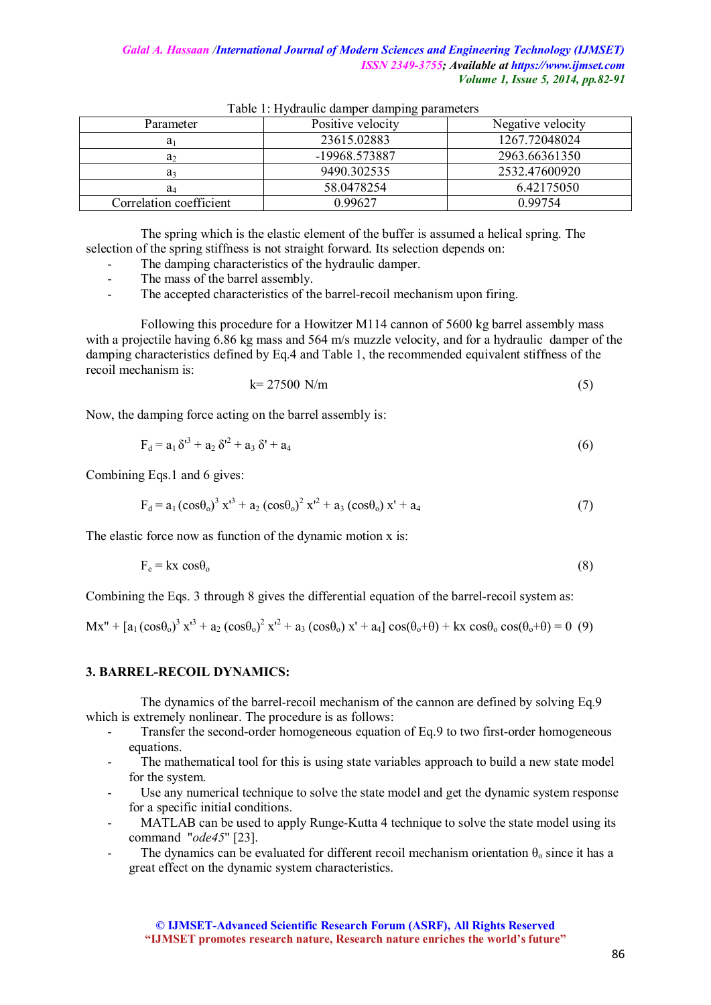| Parameter               | Positive velocity | Negative velocity |
|-------------------------|-------------------|-------------------|
| a۱                      | 23615.02883       | 1267.72048024     |
| a,                      | -19968.573887     | 2963.66361350     |
| a                       | 9490.302535       | 2532.47600920     |
| a <sub>4</sub>          | 58.0478254        | 6.42175050        |
| Correlation coefficient | 0.99627           | 0.99754           |

Table 1: Hydraulic damper damping parameters

The spring which is the elastic element of the buffer is assumed a helical spring. The selection of the spring stiffness is not straight forward. Its selection depends on:

- The damping characteristics of the hydraulic damper.
- The mass of the barrel assembly.
- The accepted characteristics of the barrel-recoil mechanism upon firing.

Following this procedure for a Howitzer M114 cannon of 5600 kg barrel assembly mass with a projectile having 6.86 kg mass and 564 m/s muzzle velocity, and for a hydraulic damper of the damping characteristics defined by Eq.4 and Table 1, the recommended equivalent stiffness of the recoil mechanism is:

$$
k = 27500 \text{ N/m} \tag{5}
$$

Now, the damping force acting on the barrel assembly is:

$$
F_d = a_1 \delta^{r^3} + a_2 \delta^{r^2} + a_3 \delta^r + a_4 \tag{6}
$$

Combining Eqs.1 and 6 gives:

$$
F_d = a_1 (\cos \theta_0)^3 x^{13} + a_2 (\cos \theta_0)^2 x^{12} + a_3 (\cos \theta_0) x^1 + a_4
$$
 (7)

The elastic force now as function of the dynamic motion x is:

$$
F_e = kx \cos \theta_o \tag{8}
$$

Combining the Eqs. 3 through 8 gives the differential equation of the barrel-recoil system as:

 $Mx'' + [a_1(cos\theta_0)^3 x'^3 + a_2(cos\theta_0)^2 x'^2 + a_3(cos\theta_0) x' + a_4] cos(\theta_0 + \theta) + kx cos\theta_0 cos(\theta_0 + \theta) = 0$  (9)

# **3. BARREL-RECOIL DYNAMICS:**

The dynamics of the barrel-recoil mechanism of the cannon are defined by solving Eq.9 which is extremely nonlinear. The procedure is as follows:

- Transfer the second-order homogeneous equation of Eq.9 to two first-order homogeneous equations.
- The mathematical tool for this is using state variables approach to build a new state model for the system.
- Use any numerical technique to solve the state model and get the dynamic system response for a specific initial conditions.
- MATLAB can be used to apply Runge-Kutta 4 technique to solve the state model using its command "*ode45*" [23].
- The dynamics can be evaluated for different recoil mechanism orientation  $\theta_0$  since it has a great effect on the dynamic system characteristics.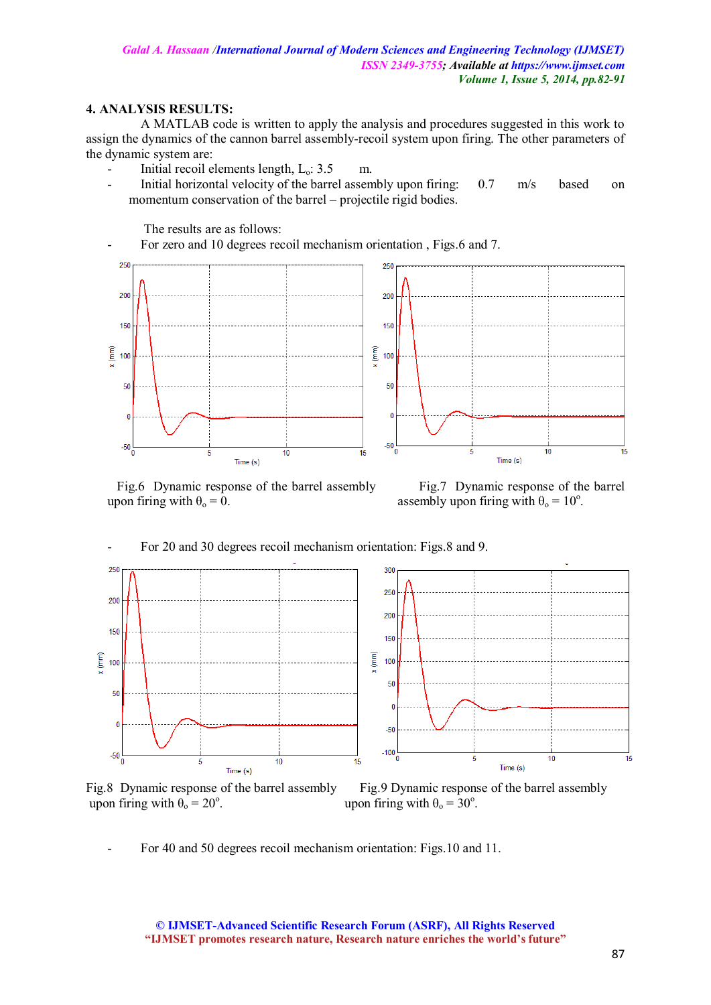# **4. ANALYSIS RESULTS:**

A MATLAB code is written to apply the analysis and procedures suggested in this work to assign the dynamics of the cannon barrel assembly-recoil system upon firing. The other parameters of the dynamic system are:

- Initial recoil elements length, L<sub>o</sub>: 3.5 m.
- Initial horizontal velocity of the barrel assembly upon firing: 0.7 m/s based on momentum conservation of the barrel – projectile rigid bodies.

The results are as follows:

- For zero and 10 degrees recoil mechanism orientation , Figs.6 and 7.



 Fig.6 Dynamic response of the barrel assembly Fig.7 Dynamic response of the barrel upon firing with  $\theta_0 = 0$ . assembly upon firing with  $\theta_0 = 10^\circ$ .

- For 20 and 30 degrees recoil mechanism orientation: Figs.8 and 9.



Fig.8 Dynamic response of the barrel assembly Fig.9 Dynamic response of the barrel assembly upon firing with  $\theta_0 = 20^\circ$ .

. upon firing with  $\theta_0 = 30^\circ$ .

- For 40 and 50 degrees recoil mechanism orientation: Figs.10 and 11.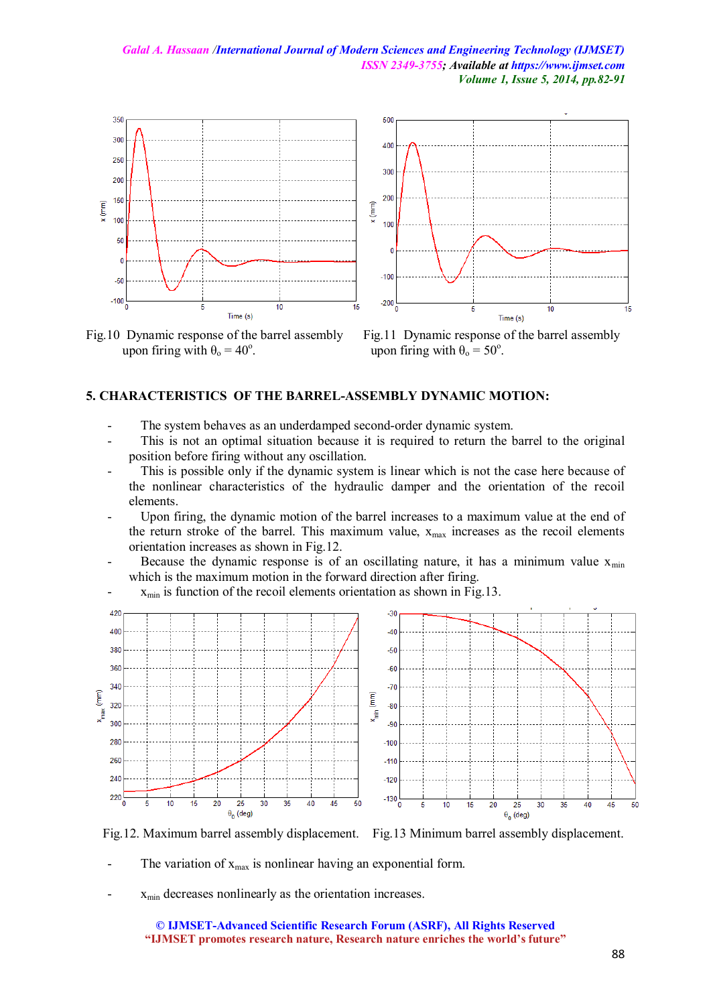

upon firing with  $\theta_0 = 40^\circ$ .



#### **5. CHARACTERISTICS OF THE BARREL-ASSEMBLY DYNAMIC MOTION:**

- The system behaves as an underdamped second-order dynamic system.
- This is not an optimal situation because it is required to return the barrel to the original position before firing without any oscillation.
- This is possible only if the dynamic system is linear which is not the case here because of the nonlinear characteristics of the hydraulic damper and the orientation of the recoil elements.
- Upon firing, the dynamic motion of the barrel increases to a maximum value at the end of the return stroke of the barrel. This maximum value,  $x_{max}$  increases as the recoil elements orientation increases as shown in Fig.12.
- Because the dynamic response is of an oscillating nature, it has a minimum value  $x_{min}$ which is the maximum motion in the forward direction after firing.



 $x_{min}$  is function of the recoil elements orientation as shown in Fig.13.

Fig.12. Maximum barrel assembly displacement. Fig.13 Minimum barrel assembly displacement.

- The variation of  $x_{max}$  is nonlinear having an exponential form.
- $x_{min}$  decreases nonlinearly as the orientation increases.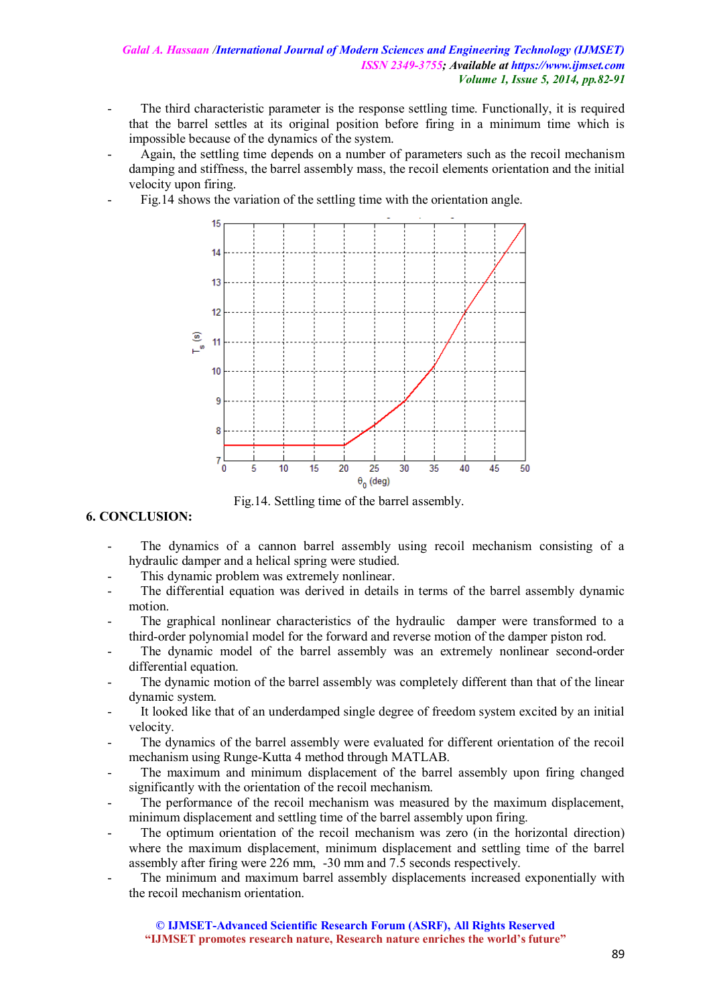- The third characteristic parameter is the response settling time. Functionally, it is required that the barrel settles at its original position before firing in a minimum time which is impossible because of the dynamics of the system.
- Again, the settling time depends on a number of parameters such as the recoil mechanism damping and stiffness, the barrel assembly mass, the recoil elements orientation and the initial velocity upon firing.
	- Fig.14 shows the variation of the settling time with the orientation angle.



Fig.14. Settling time of the barrel assembly.

# **6. CONCLUSION:**

- The dynamics of a cannon barrel assembly using recoil mechanism consisting of a hydraulic damper and a helical spring were studied.
- This dynamic problem was extremely nonlinear.
- The differential equation was derived in details in terms of the barrel assembly dynamic motion.
- The graphical nonlinear characteristics of the hydraulic damper were transformed to a third-order polynomial model for the forward and reverse motion of the damper piston rod.
- The dynamic model of the barrel assembly was an extremely nonlinear second-order differential equation.
- The dynamic motion of the barrel assembly was completely different than that of the linear dynamic system.
- It looked like that of an underdamped single degree of freedom system excited by an initial velocity.
- The dynamics of the barrel assembly were evaluated for different orientation of the recoil mechanism using Runge-Kutta 4 method through MATLAB.
- The maximum and minimum displacement of the barrel assembly upon firing changed significantly with the orientation of the recoil mechanism.
- The performance of the recoil mechanism was measured by the maximum displacement, minimum displacement and settling time of the barrel assembly upon firing.
- The optimum orientation of the recoil mechanism was zero (in the horizontal direction) where the maximum displacement, minimum displacement and settling time of the barrel assembly after firing were 226 mm, -30 mm and 7.5 seconds respectively.
- The minimum and maximum barrel assembly displacements increased exponentially with the recoil mechanism orientation.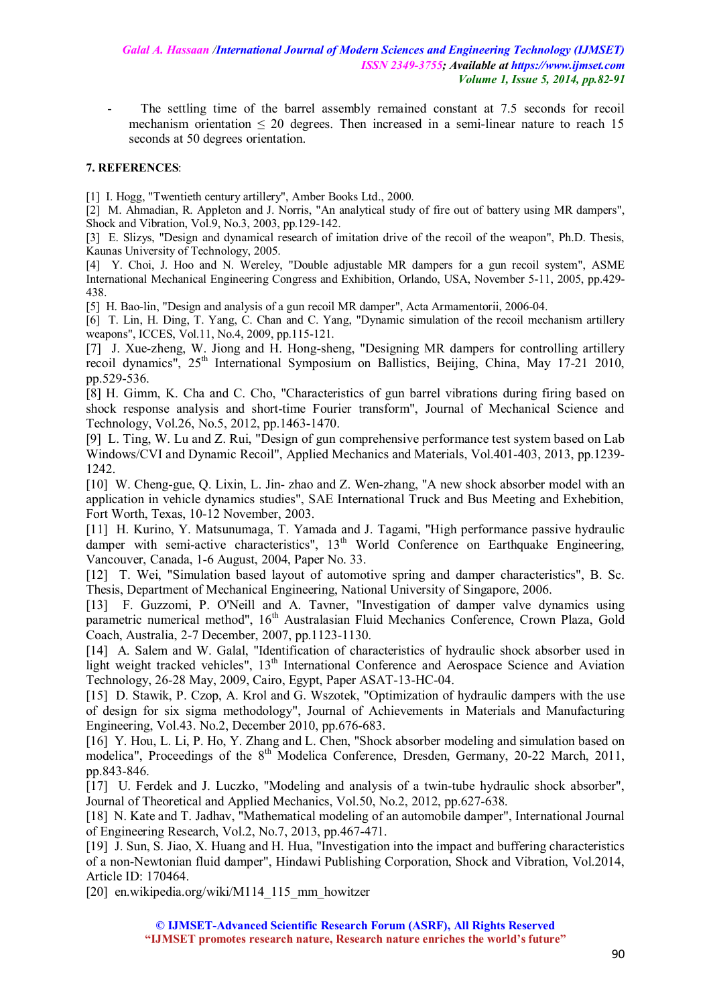The settling time of the barrel assembly remained constant at 7.5 seconds for recoil mechanism orientation  $\leq 20$  degrees. Then increased in a semi-linear nature to reach 15 seconds at 50 degrees orientation.

# **7. REFERENCES**:

[1] I. Hogg, "Twentieth century artillery", Amber Books Ltd., 2000.

[2] M. Ahmadian, R. Appleton and J. Norris, "An analytical study of fire out of battery using MR dampers", Shock and Vibration, Vol.9, No.3, 2003, pp.129-142.

[3] E. Slizys, "Design and dynamical research of imitation drive of the recoil of the weapon", Ph.D. Thesis, Kaunas University of Technology, 2005.

[4] Y. Choi, J. Hoo and N. Wereley, "Double adjustable MR dampers for a gun recoil system", ASME International Mechanical Engineering Congress and Exhibition, Orlando, USA, November 5-11, 2005, pp.429- 438.

[5] H. Bao-lin, "Design and analysis of a gun recoil MR damper", Acta Armamentorii, 2006-04.

[6] T. Lin, H. Ding, T. Yang, C. Chan and C. Yang, "Dynamic simulation of the recoil mechanism artillery weapons", ICCES, Vol.11, No.4, 2009, pp.115-121.

[7] J. Xue-zheng, W. Jiong and H. Hong-sheng, "Designing MR dampers for controlling artillery recoil dynamics", 25<sup>th</sup> International Symposium on Ballistics, Beijing, China, May 17-21 2010, pp.529-536.

[8] H. Gimm, K. Cha and C. Cho, "Characteristics of gun barrel vibrations during firing based on shock response analysis and short-time Fourier transform", Journal of Mechanical Science and Technology, Vol.26, No.5, 2012, pp.1463-1470.

[9] L. Ting, W. Lu and Z. Rui, "Design of gun comprehensive performance test system based on Lab Windows/CVI and Dynamic Recoil", Applied Mechanics and Materials, Vol.401-403, 2013, pp.1239- 1242.

[10] W. Cheng-gue, Q. Lixin, L. Jin- zhao and Z. Wen-zhang, "A new shock absorber model with an application in vehicle dynamics studies", SAE International Truck and Bus Meeting and Exhebition, Fort Worth, Texas, 10-12 November, 2003.

[11] H. Kurino, Y. Matsunumaga, T. Yamada and J. Tagami, "High performance passive hydraulic damper with semi-active characteristics",  $13<sup>th</sup>$  World Conference on Earthquake Engineering, Vancouver, Canada, 1-6 August, 2004, Paper No. 33.

[12] T. Wei, "Simulation based layout of automotive spring and damper characteristics", B. Sc. Thesis, Department of Mechanical Engineering, National University of Singapore, 2006.

[13] F. Guzzomi, P. O'Neill and A. Tavner, "Investigation of damper valve dynamics using parametric numerical method", 16<sup>th</sup> Australasian Fluid Mechanics Conference, Crown Plaza, Gold Coach, Australia, 2-7 December, 2007, pp.1123-1130.

[14] A. Salem and W. Galal, "Identification of characteristics of hydraulic shock absorber used in light weight tracked vehicles", 13<sup>th</sup> International Conference and Aerospace Science and Aviation Technology, 26-28 May, 2009, Cairo, Egypt, Paper ASAT-13-HC-04.

[15] D. Stawik, P. Czop, A. Krol and G. Wszotek, "Optimization of hydraulic dampers with the use of design for six sigma methodology", Journal of Achievements in Materials and Manufacturing Engineering, Vol.43. No.2, December 2010, pp.676-683.

[16] Y. Hou, L. Li, P. Ho, Y. Zhang and L. Chen, "Shock absorber modeling and simulation based on modelica", Proceedings of the 8<sup>th</sup> Modelica Conference, Dresden, Germany, 20-22 March, 2011, pp.843-846.

[17] U. Ferdek and J. Luczko, "Modeling and analysis of a twin-tube hydraulic shock absorber", Journal of Theoretical and Applied Mechanics, Vol.50, No.2, 2012, pp.627-638.

[18] N. Kate and T. Jadhav, "Mathematical modeling of an automobile damper", International Journal of Engineering Research, Vol.2, No.7, 2013, pp.467-471.

[19] J. Sun, S. Jiao, X. Huang and H. Hua, "Investigation into the impact and buffering characteristics of a non-Newtonian fluid damper", Hindawi Publishing Corporation, Shock and Vibration, Vol.2014, Article ID: 170464.

[20] en.wikipedia.org/wiki/M114\_115\_mm\_howitzer